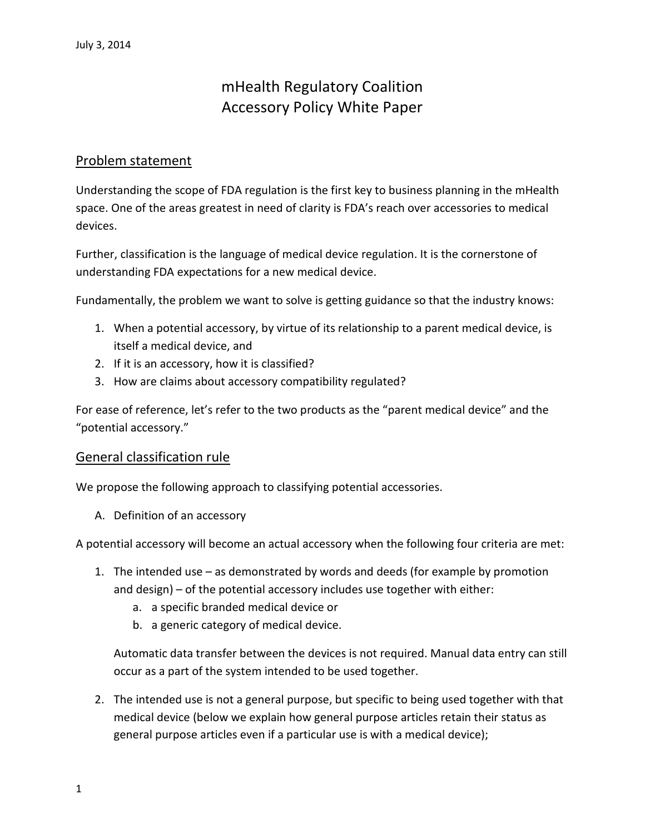# mHealth Regulatory Coalition Accessory Policy White Paper

#### Problem statement

Understanding the scope of FDA regulation is the first key to business planning in the mHealth space. One of the areas greatest in need of clarity is FDA's reach over accessories to medical devices.

Further, classification is the language of medical device regulation. It is the cornerstone of understanding FDA expectations for a new medical device.

Fundamentally, the problem we want to solve is getting guidance so that the industry knows:

- 1. When a potential accessory, by virtue of its relationship to a parent medical device, is itself a medical device, and
- 2. If it is an accessory, how it is classified?
- 3. How are claims about accessory compatibility regulated?

For ease of reference, let's refer to the two products as the "parent medical device" and the "potential accessory."

#### General classification rule

We propose the following approach to classifying potential accessories.

A. Definition of an accessory

A potential accessory will become an actual accessory when the following four criteria are met:

- 1. The intended use as demonstrated by words and deeds (for example by promotion and design) – of the potential accessory includes use together with either:
	- a. a specific branded medical device or
	- b. a generic category of medical device.

Automatic data transfer between the devices is not required. Manual data entry can still occur as a part of the system intended to be used together.

2. The intended use is not a general purpose, but specific to being used together with that medical device (below we explain how general purpose articles retain their status as general purpose articles even if a particular use is with a medical device);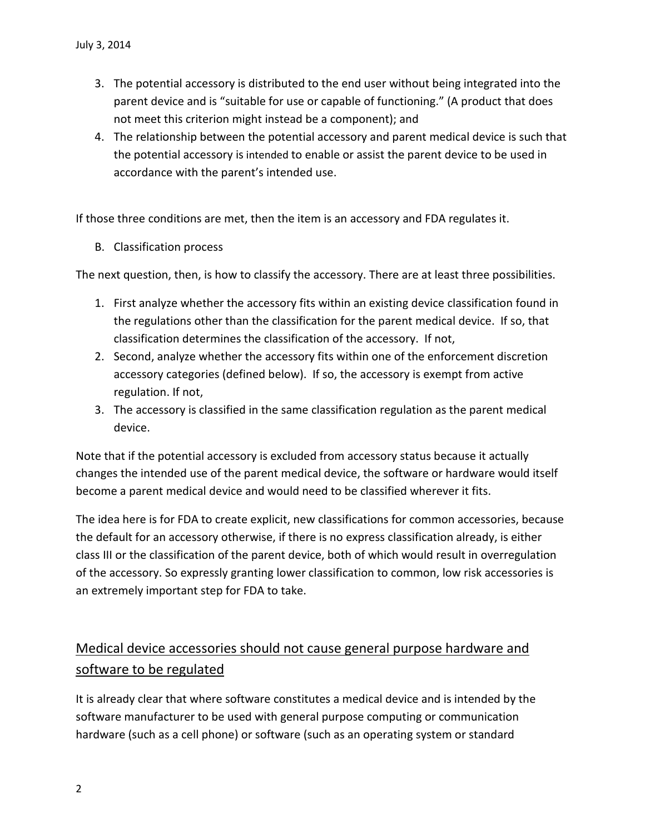- 3. The potential accessory is distributed to the end user without being integrated into the parent device and is "suitable for use or capable of functioning." (A product that does not meet this criterion might instead be a component); and
- 4. The relationship between the potential accessory and parent medical device is such that the potential accessory is intended to enable or assist the parent device to be used in accordance with the parent's intended use.

If those three conditions are met, then the item is an accessory and FDA regulates it.

B. Classification process

The next question, then, is how to classify the accessory. There are at least three possibilities.

- 1. First analyze whether the accessory fits within an existing device classification found in the regulations other than the classification for the parent medical device. If so, that classification determines the classification of the accessory. If not,
- 2. Second, analyze whether the accessory fits within one of the enforcement discretion accessory categories (defined below). If so, the accessory is exempt from active regulation. If not,
- 3. The accessory is classified in the same classification regulation as the parent medical device.

Note that if the potential accessory is excluded from accessory status because it actually changes the intended use of the parent medical device, the software or hardware would itself become a parent medical device and would need to be classified wherever it fits.

The idea here is for FDA to create explicit, new classifications for common accessories, because the default for an accessory otherwise, if there is no express classification already, is either class III or the classification of the parent device, both of which would result in overregulation of the accessory. So expressly granting lower classification to common, low risk accessories is an extremely important step for FDA to take.

## Medical device accessories should not cause general purpose hardware and software to be regulated

It is already clear that where software constitutes a medical device and is intended by the software manufacturer to be used with general purpose computing or communication hardware (such as a cell phone) or software (such as an operating system or standard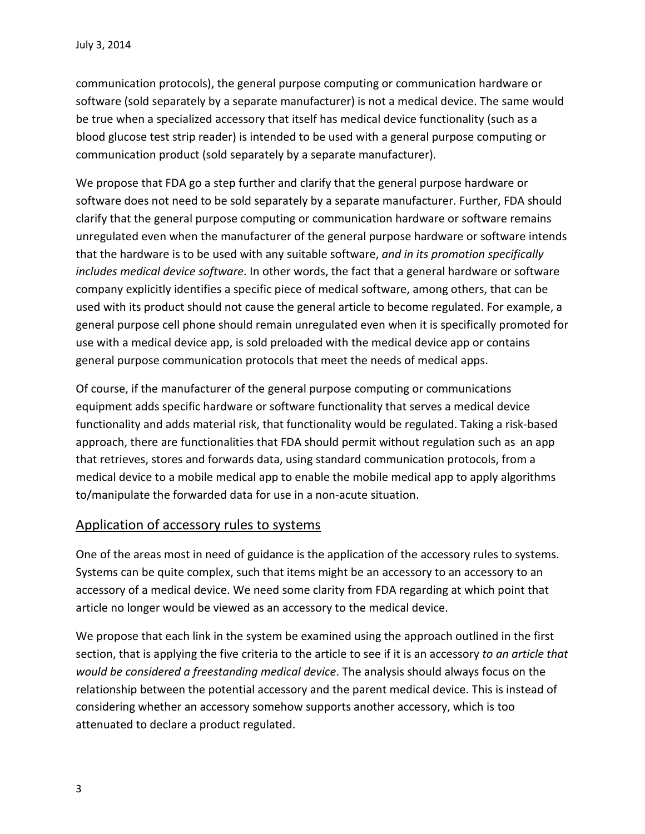communication protocols), the general purpose computing or communication hardware or software (sold separately by a separate manufacturer) is not a medical device. The same would be true when a specialized accessory that itself has medical device functionality (such as a blood glucose test strip reader) is intended to be used with a general purpose computing or communication product (sold separately by a separate manufacturer).

We propose that FDA go a step further and clarify that the general purpose hardware or software does not need to be sold separately by a separate manufacturer. Further, FDA should clarify that the general purpose computing or communication hardware or software remains unregulated even when the manufacturer of the general purpose hardware or software intends that the hardware is to be used with any suitable software, *and in its promotion specifically includes medical device software*. In other words, the fact that a general hardware or software company explicitly identifies a specific piece of medical software, among others, that can be used with its product should not cause the general article to become regulated. For example, a general purpose cell phone should remain unregulated even when it is specifically promoted for use with a medical device app, is sold preloaded with the medical device app or contains general purpose communication protocols that meet the needs of medical apps.

Of course, if the manufacturer of the general purpose computing or communications equipment adds specific hardware or software functionality that serves a medical device functionality and adds material risk, that functionality would be regulated. Taking a risk-based approach, there are functionalities that FDA should permit without regulation such as an app that retrieves, stores and forwards data, using standard communication protocols, from a medical device to a mobile medical app to enable the mobile medical app to apply algorithms to/manipulate the forwarded data for use in a non-acute situation.

### Application of accessory rules to systems

One of the areas most in need of guidance is the application of the accessory rules to systems. Systems can be quite complex, such that items might be an accessory to an accessory to an accessory of a medical device. We need some clarity from FDA regarding at which point that article no longer would be viewed as an accessory to the medical device.

We propose that each link in the system be examined using the approach outlined in the first section, that is applying the five criteria to the article to see if it is an accessory *to an article that would be considered a freestanding medical device*. The analysis should always focus on the relationship between the potential accessory and the parent medical device. This is instead of considering whether an accessory somehow supports another accessory, which is too attenuated to declare a product regulated.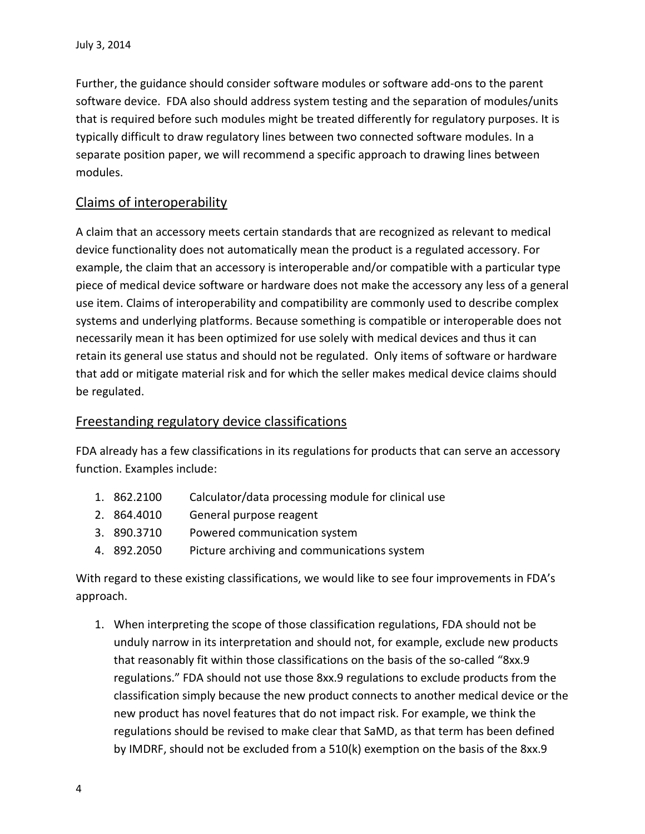Further, the guidance should consider software modules or software add-ons to the parent software device. FDA also should address system testing and the separation of modules/units that is required before such modules might be treated differently for regulatory purposes. It is typically difficult to draw regulatory lines between two connected software modules. In a separate position paper, we will recommend a specific approach to drawing lines between modules.

### Claims of interoperability

A claim that an accessory meets certain standards that are recognized as relevant to medical device functionality does not automatically mean the product is a regulated accessory. For example, the claim that an accessory is interoperable and/or compatible with a particular type piece of medical device software or hardware does not make the accessory any less of a general use item. Claims of interoperability and compatibility are commonly used to describe complex systems and underlying platforms. Because something is compatible or interoperable does not necessarily mean it has been optimized for use solely with medical devices and thus it can retain its general use status and should not be regulated. Only items of software or hardware that add or mitigate material risk and for which the seller makes medical device claims should be regulated.

### Freestanding regulatory device classifications

FDA already has a few classifications in its regulations for products that can serve an accessory function. Examples include:

- 1. 862.2100 Calculator/data processing module for clinical use
- 2. 864.4010 General purpose reagent
- 3. 890.3710 Powered communication system
- 4. 892.2050 Picture archiving and communications system

With regard to these existing classifications, we would like to see four improvements in FDA's approach.

1. When interpreting the scope of those classification regulations, FDA should not be unduly narrow in its interpretation and should not, for example, exclude new products that reasonably fit within those classifications on the basis of the so-called "8xx.9 regulations." FDA should not use those 8xx.9 regulations to exclude products from the classification simply because the new product connects to another medical device or the new product has novel features that do not impact risk. For example, we think the regulations should be revised to make clear that SaMD, as that term has been defined by IMDRF, should not be excluded from a 510(k) exemption on the basis of the 8xx.9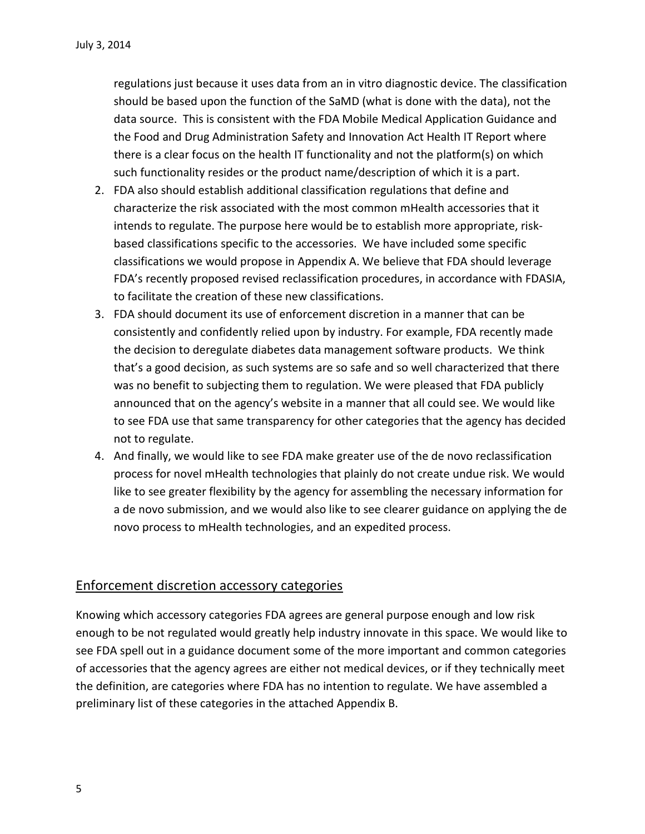regulations just because it uses data from an in vitro diagnostic device. The classification should be based upon the function of the SaMD (what is done with the data), not the data source. This is consistent with the FDA Mobile Medical Application Guidance and the Food and Drug Administration Safety and Innovation Act Health IT Report where there is a clear focus on the health IT functionality and not the platform(s) on which such functionality resides or the product name/description of which it is a part.

- 2. FDA also should establish additional classification regulations that define and characterize the risk associated with the most common mHealth accessories that it intends to regulate. The purpose here would be to establish more appropriate, riskbased classifications specific to the accessories. We have included some specific classifications we would propose in Appendix A. We believe that FDA should leverage FDA's recently proposed revised reclassification procedures, in accordance with FDASIA, to facilitate the creation of these new classifications.
- 3. FDA should document its use of enforcement discretion in a manner that can be consistently and confidently relied upon by industry. For example, FDA recently made the decision to deregulate diabetes data management software products. We think that's a good decision, as such systems are so safe and so well characterized that there was no benefit to subjecting them to regulation. We were pleased that FDA publicly announced that on the agency's website in a manner that all could see. We would like to see FDA use that same transparency for other categories that the agency has decided not to regulate.
- 4. And finally, we would like to see FDA make greater use of the de novo reclassification process for novel mHealth technologies that plainly do not create undue risk. We would like to see greater flexibility by the agency for assembling the necessary information for a de novo submission, and we would also like to see clearer guidance on applying the de novo process to mHealth technologies, and an expedited process.

#### Enforcement discretion accessory categories

Knowing which accessory categories FDA agrees are general purpose enough and low risk enough to be not regulated would greatly help industry innovate in this space. We would like to see FDA spell out in a guidance document some of the more important and common categories of accessories that the agency agrees are either not medical devices, or if they technically meet the definition, are categories where FDA has no intention to regulate. We have assembled a preliminary list of these categories in the attached Appendix B.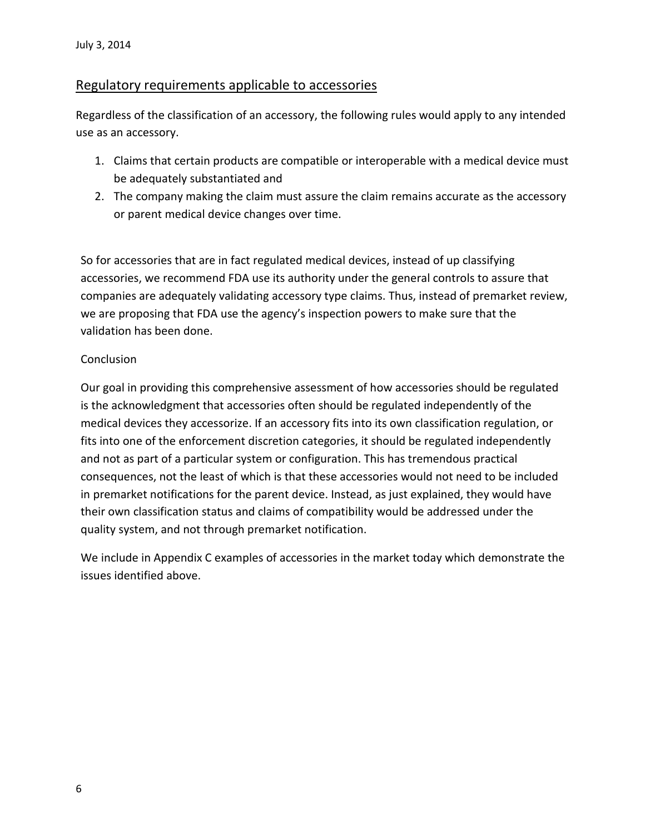#### Regulatory requirements applicable to accessories

Regardless of the classification of an accessory, the following rules would apply to any intended use as an accessory.

- 1. Claims that certain products are compatible or interoperable with a medical device must be adequately substantiated and
- 2. The company making the claim must assure the claim remains accurate as the accessory or parent medical device changes over time.

So for accessories that are in fact regulated medical devices, instead of up classifying accessories, we recommend FDA use its authority under the general controls to assure that companies are adequately validating accessory type claims. Thus, instead of premarket review, we are proposing that FDA use the agency's inspection powers to make sure that the validation has been done.

#### **Conclusion**

Our goal in providing this comprehensive assessment of how accessories should be regulated is the acknowledgment that accessories often should be regulated independently of the medical devices they accessorize. If an accessory fits into its own classification regulation, or fits into one of the enforcement discretion categories, it should be regulated independently and not as part of a particular system or configuration. This has tremendous practical consequences, not the least of which is that these accessories would not need to be included in premarket notifications for the parent device. Instead, as just explained, they would have their own classification status and claims of compatibility would be addressed under the quality system, and not through premarket notification.

We include in Appendix C examples of accessories in the market today which demonstrate the issues identified above.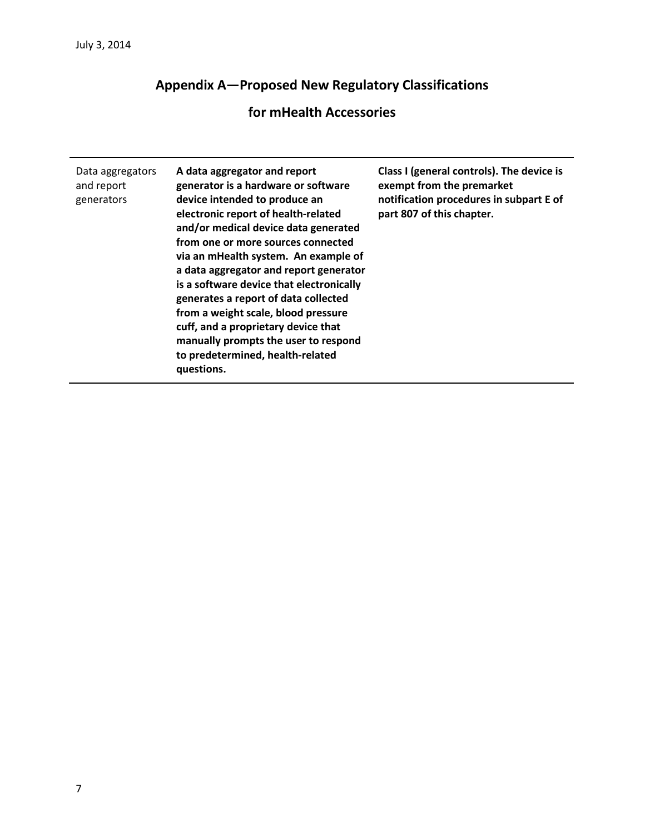# **Appendix A—Proposed New Regulatory Classifications**

## **for mHealth Accessories**

| Data aggregators<br>and report<br>generators | A data aggregator and report<br>generator is a hardware or software<br>device intended to produce an<br>electronic report of health-related<br>and/or medical device data generated<br>from one or more sources connected<br>via an mHealth system. An example of<br>a data aggregator and report generator<br>is a software device that electronically<br>generates a report of data collected<br>from a weight scale, blood pressure<br>cuff, and a proprietary device that<br>manually prompts the user to respond<br>to predetermined, health-related | Class I (general controls). The device is<br>exempt from the premarket<br>notification procedures in subpart E of<br>part 807 of this chapter. |
|----------------------------------------------|-----------------------------------------------------------------------------------------------------------------------------------------------------------------------------------------------------------------------------------------------------------------------------------------------------------------------------------------------------------------------------------------------------------------------------------------------------------------------------------------------------------------------------------------------------------|------------------------------------------------------------------------------------------------------------------------------------------------|
|                                              | questions.                                                                                                                                                                                                                                                                                                                                                                                                                                                                                                                                                |                                                                                                                                                |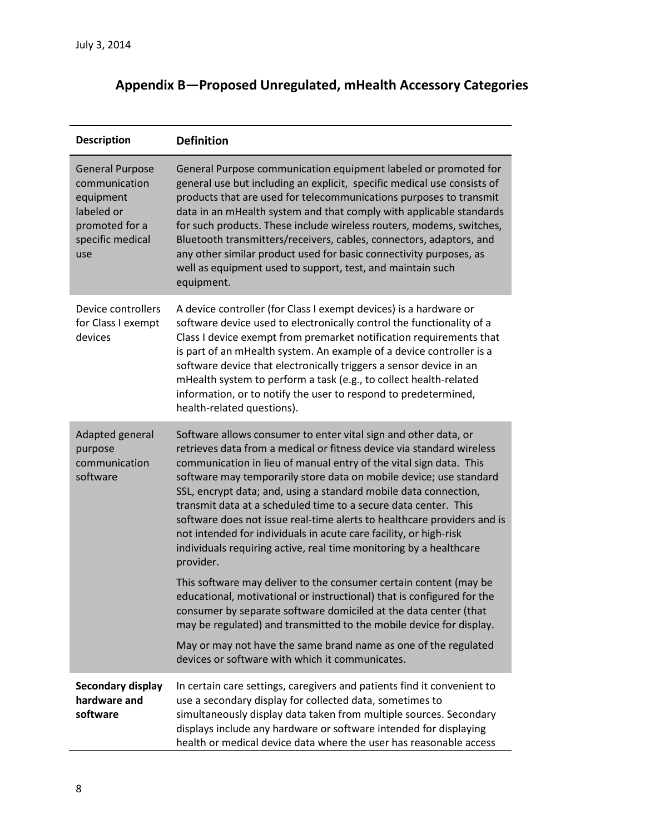| Appendix B-Proposed Unregulated, mHealth Accessory Categories |  |  |  |
|---------------------------------------------------------------|--|--|--|
|---------------------------------------------------------------|--|--|--|

| <b>Description</b>                                                                                              | <b>Definition</b>                                                                                                                                                                                                                                                                                                                                                                                                                                                                                                                                                                                                                                              |
|-----------------------------------------------------------------------------------------------------------------|----------------------------------------------------------------------------------------------------------------------------------------------------------------------------------------------------------------------------------------------------------------------------------------------------------------------------------------------------------------------------------------------------------------------------------------------------------------------------------------------------------------------------------------------------------------------------------------------------------------------------------------------------------------|
| <b>General Purpose</b><br>communication<br>equipment<br>labeled or<br>promoted for a<br>specific medical<br>use | General Purpose communication equipment labeled or promoted for<br>general use but including an explicit, specific medical use consists of<br>products that are used for telecommunications purposes to transmit<br>data in an mHealth system and that comply with applicable standards<br>for such products. These include wireless routers, modems, switches,<br>Bluetooth transmitters/receivers, cables, connectors, adaptors, and<br>any other similar product used for basic connectivity purposes, as<br>well as equipment used to support, test, and maintain such<br>equipment.                                                                       |
| Device controllers<br>for Class I exempt<br>devices                                                             | A device controller (for Class I exempt devices) is a hardware or<br>software device used to electronically control the functionality of a<br>Class I device exempt from premarket notification requirements that<br>is part of an mHealth system. An example of a device controller is a<br>software device that electronically triggers a sensor device in an<br>mHealth system to perform a task (e.g., to collect health-related<br>information, or to notify the user to respond to predetermined,<br>health-related questions).                                                                                                                          |
| Adapted general<br>purpose<br>communication<br>software                                                         | Software allows consumer to enter vital sign and other data, or<br>retrieves data from a medical or fitness device via standard wireless<br>communication in lieu of manual entry of the vital sign data. This<br>software may temporarily store data on mobile device; use standard<br>SSL, encrypt data; and, using a standard mobile data connection,<br>transmit data at a scheduled time to a secure data center. This<br>software does not issue real-time alerts to healthcare providers and is<br>not intended for individuals in acute care facility, or high-risk<br>individuals requiring active, real time monitoring by a healthcare<br>provider. |
|                                                                                                                 | This software may deliver to the consumer certain content (may be<br>educational, motivational or instructional) that is configured for the<br>consumer by separate software domiciled at the data center (that<br>may be regulated) and transmitted to the mobile device for display.                                                                                                                                                                                                                                                                                                                                                                         |
|                                                                                                                 | May or may not have the same brand name as one of the regulated<br>devices or software with which it communicates.                                                                                                                                                                                                                                                                                                                                                                                                                                                                                                                                             |
| Secondary display<br>hardware and<br>software                                                                   | In certain care settings, caregivers and patients find it convenient to<br>use a secondary display for collected data, sometimes to<br>simultaneously display data taken from multiple sources. Secondary<br>displays include any hardware or software intended for displaying<br>health or medical device data where the user has reasonable access                                                                                                                                                                                                                                                                                                           |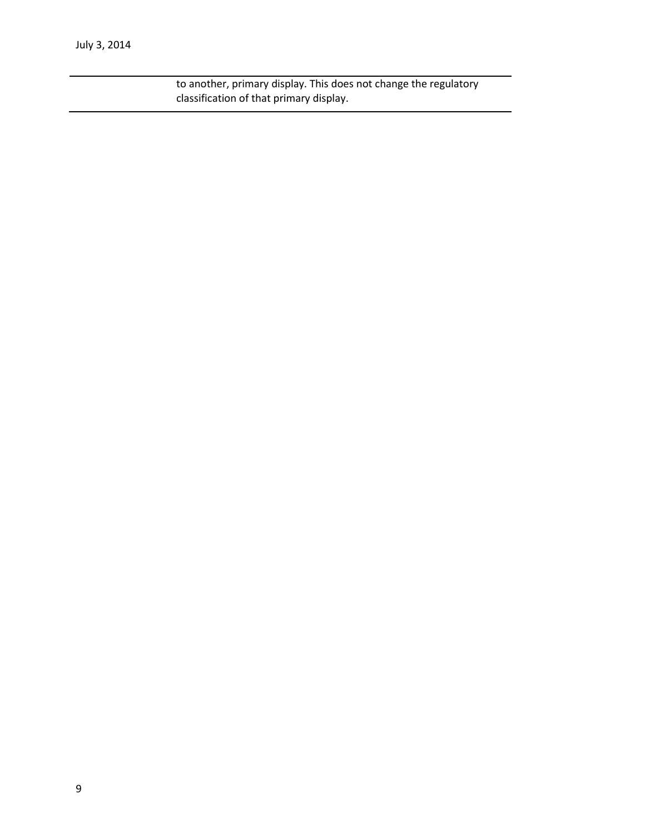to another, primary display. This does not change the regulatory classification of that primary display.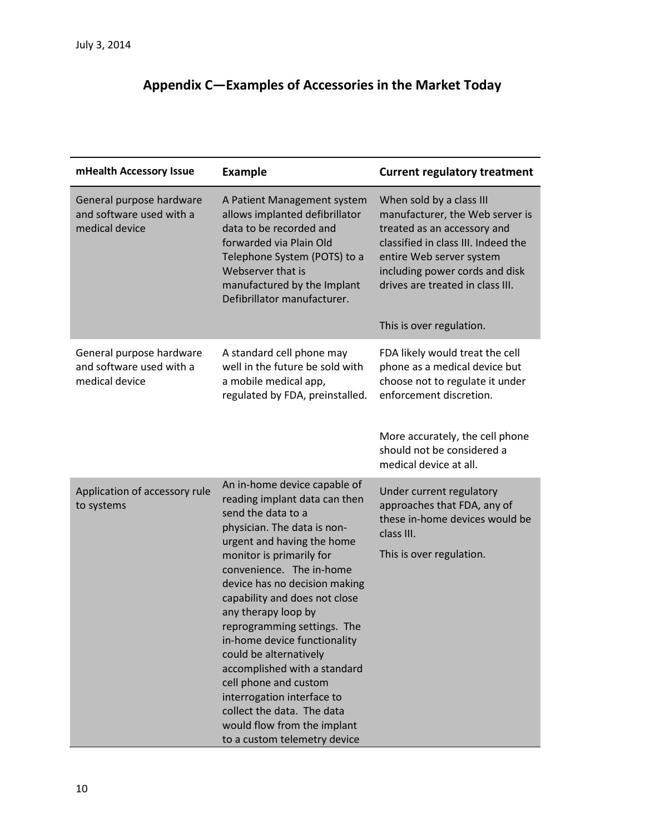# **Appendix C—Examples of Accessories in the Market Today**

| mHealth Accessory Issue                                                | <b>Example</b>                                                                                                                                                                                                                                                                                                                                                                                                                                                                                                                                                                 | <b>Current regulatory treatment</b>                                                                                                                                                                                                                             |
|------------------------------------------------------------------------|--------------------------------------------------------------------------------------------------------------------------------------------------------------------------------------------------------------------------------------------------------------------------------------------------------------------------------------------------------------------------------------------------------------------------------------------------------------------------------------------------------------------------------------------------------------------------------|-----------------------------------------------------------------------------------------------------------------------------------------------------------------------------------------------------------------------------------------------------------------|
| General purpose hardware<br>and software used with a<br>medical device | A Patient Management system<br>allows implanted defibrillator<br>data to be recorded and<br>forwarded via Plain Old<br>Telephone System (POTS) to a<br>Webserver that is<br>manufactured by the Implant<br>Defibrillator manufacturer.                                                                                                                                                                                                                                                                                                                                         | When sold by a class III<br>manufacturer, the Web server is<br>treated as an accessory and<br>classified in class III. Indeed the<br>entire Web server system<br>including power cords and disk<br>drives are treated in class III.<br>This is over regulation. |
| General purpose hardware<br>and software used with a<br>medical device | A standard cell phone may<br>well in the future be sold with<br>a mobile medical app,<br>regulated by FDA, preinstalled.                                                                                                                                                                                                                                                                                                                                                                                                                                                       | FDA likely would treat the cell<br>phone as a medical device but<br>choose not to regulate it under<br>enforcement discretion.<br>More accurately, the cell phone<br>should not be considered a<br>medical device at all.                                       |
| Application of accessory rule<br>to systems                            | An in-home device capable of<br>reading implant data can then<br>send the data to a<br>physician. The data is non-<br>urgent and having the home<br>monitor is primarily for<br>convenience. The in-home<br>device has no decision making<br>capability and does not close<br>any therapy loop by<br>reprogramming settings. The<br>in-home device functionality<br>could be alternatively<br>accomplished with a standard<br>cell phone and custom<br>interrogation interface to<br>collect the data. The data<br>would flow from the implant<br>to a custom telemetry device | Under current regulatory<br>approaches that FDA, any of<br>these in-home devices would be<br>class III.<br>This is over regulation.                                                                                                                             |